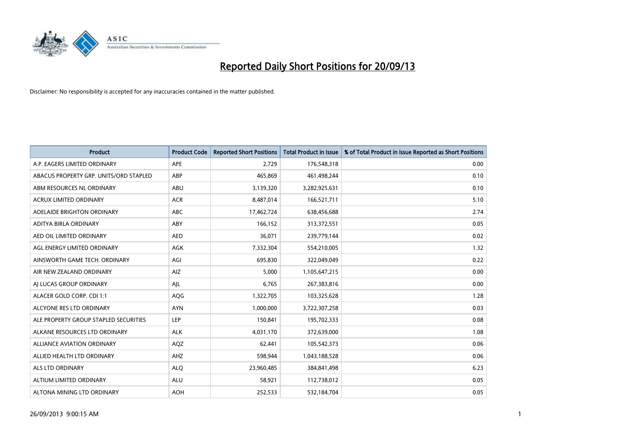

| <b>Product</b>                         | <b>Product Code</b> | <b>Reported Short Positions</b> | <b>Total Product in Issue</b> | % of Total Product in Issue Reported as Short Positions |
|----------------------------------------|---------------------|---------------------------------|-------------------------------|---------------------------------------------------------|
| A.P. EAGERS LIMITED ORDINARY           | APE                 | 2,729                           | 176,548,318                   | 0.00                                                    |
| ABACUS PROPERTY GRP. UNITS/ORD STAPLED | ABP                 | 465,869                         | 461,498,244                   | 0.10                                                    |
| ABM RESOURCES NL ORDINARY              | ABU                 | 3,139,320                       | 3,282,925,631                 | 0.10                                                    |
| ACRUX LIMITED ORDINARY                 | <b>ACR</b>          | 8,487,014                       | 166,521,711                   | 5.10                                                    |
| ADELAIDE BRIGHTON ORDINARY             | <b>ABC</b>          | 17,462,724                      | 638,456,688                   | 2.74                                                    |
| ADITYA BIRLA ORDINARY                  | ABY                 | 166,152                         | 313,372,551                   | 0.05                                                    |
| AED OIL LIMITED ORDINARY               | <b>AED</b>          | 36,071                          | 239,779,144                   | 0.02                                                    |
| AGL ENERGY LIMITED ORDINARY            | AGK                 | 7,332,304                       | 554,210,005                   | 1.32                                                    |
| AINSWORTH GAME TECH. ORDINARY          | AGI                 | 695,830                         | 322,049,049                   | 0.22                                                    |
| AIR NEW ZEALAND ORDINARY               | <b>AIZ</b>          | 5,000                           | 1,105,647,215                 | 0.00                                                    |
| AI LUCAS GROUP ORDINARY                | AJL                 | 6,765                           | 267,383,816                   | 0.00                                                    |
| ALACER GOLD CORP. CDI 1:1              | AQG                 | 1,322,705                       | 103,325,628                   | 1.28                                                    |
| ALCYONE RES LTD ORDINARY               | <b>AYN</b>          | 1,000,000                       | 3,722,307,258                 | 0.03                                                    |
| ALE PROPERTY GROUP STAPLED SECURITIES  | LEP                 | 150,841                         | 195,702,333                   | 0.08                                                    |
| ALKANE RESOURCES LTD ORDINARY          | <b>ALK</b>          | 4,031,170                       | 372,639,000                   | 1.08                                                    |
| ALLIANCE AVIATION ORDINARY             | AQZ                 | 62,441                          | 105,542,373                   | 0.06                                                    |
| ALLIED HEALTH LTD ORDINARY             | AHZ                 | 598,944                         | 1,043,188,528                 | 0.06                                                    |
| <b>ALS LTD ORDINARY</b>                | <b>ALQ</b>          | 23,960,485                      | 384,841,498                   | 6.23                                                    |
| ALTIUM LIMITED ORDINARY                | <b>ALU</b>          | 58,921                          | 112,738,012                   | 0.05                                                    |
| ALTONA MINING LTD ORDINARY             | <b>AOH</b>          | 252,533                         | 532,184,704                   | 0.05                                                    |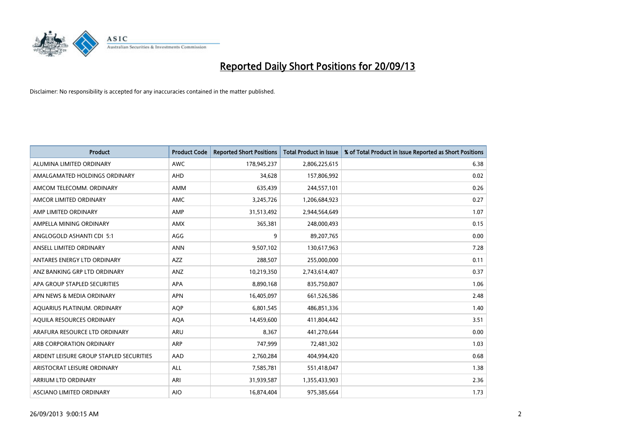

| <b>Product</b>                          | <b>Product Code</b> | <b>Reported Short Positions</b> | <b>Total Product in Issue</b> | % of Total Product in Issue Reported as Short Positions |
|-----------------------------------------|---------------------|---------------------------------|-------------------------------|---------------------------------------------------------|
| ALUMINA LIMITED ORDINARY                | <b>AWC</b>          | 178,945,237                     | 2,806,225,615                 | 6.38                                                    |
| AMALGAMATED HOLDINGS ORDINARY           | <b>AHD</b>          | 34,628                          | 157,806,992                   | 0.02                                                    |
| AMCOM TELECOMM. ORDINARY                | AMM                 | 635,439                         | 244,557,101                   | 0.26                                                    |
| AMCOR LIMITED ORDINARY                  | AMC                 | 3,245,726                       | 1,206,684,923                 | 0.27                                                    |
| AMP LIMITED ORDINARY                    | AMP                 | 31,513,492                      | 2,944,564,649                 | 1.07                                                    |
| AMPELLA MINING ORDINARY                 | AMX                 | 365,381                         | 248,000,493                   | 0.15                                                    |
| ANGLOGOLD ASHANTI CDI 5:1               | AGG                 | 9                               | 89,207,765                    | 0.00                                                    |
| ANSELL LIMITED ORDINARY                 | <b>ANN</b>          | 9,507,102                       | 130,617,963                   | 7.28                                                    |
| ANTARES ENERGY LTD ORDINARY             | <b>AZZ</b>          | 288,507                         | 255,000,000                   | 0.11                                                    |
| ANZ BANKING GRP LTD ORDINARY            | ANZ                 | 10,219,350                      | 2,743,614,407                 | 0.37                                                    |
| APA GROUP STAPLED SECURITIES            | APA                 | 8,890,168                       | 835,750,807                   | 1.06                                                    |
| APN NEWS & MEDIA ORDINARY               | <b>APN</b>          | 16,405,097                      | 661,526,586                   | 2.48                                                    |
| AQUARIUS PLATINUM. ORDINARY             | <b>AOP</b>          | 6,801,545                       | 486,851,336                   | 1.40                                                    |
| AOUILA RESOURCES ORDINARY               | <b>AQA</b>          | 14,459,600                      | 411,804,442                   | 3.51                                                    |
| ARAFURA RESOURCE LTD ORDINARY           | ARU                 | 8,367                           | 441,270,644                   | 0.00                                                    |
| ARB CORPORATION ORDINARY                | ARP                 | 747,999                         | 72,481,302                    | 1.03                                                    |
| ARDENT LEISURE GROUP STAPLED SECURITIES | AAD                 | 2,760,284                       | 404,994,420                   | 0.68                                                    |
| ARISTOCRAT LEISURE ORDINARY             | ALL                 | 7,585,781                       | 551,418,047                   | 1.38                                                    |
| ARRIUM LTD ORDINARY                     | ARI                 | 31,939,587                      | 1,355,433,903                 | 2.36                                                    |
| ASCIANO LIMITED ORDINARY                | <b>AIO</b>          | 16,874,404                      | 975,385,664                   | 1.73                                                    |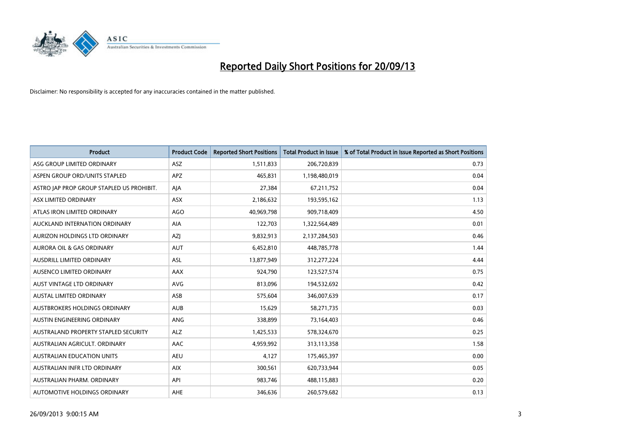

| <b>Product</b>                            | <b>Product Code</b> | <b>Reported Short Positions</b> | <b>Total Product in Issue</b> | % of Total Product in Issue Reported as Short Positions |
|-------------------------------------------|---------------------|---------------------------------|-------------------------------|---------------------------------------------------------|
| ASG GROUP LIMITED ORDINARY                | <b>ASZ</b>          | 1,511,833                       | 206,720,839                   | 0.73                                                    |
| ASPEN GROUP ORD/UNITS STAPLED             | APZ                 | 465,831                         | 1,198,480,019                 | 0.04                                                    |
| ASTRO JAP PROP GROUP STAPLED US PROHIBIT. | AJA                 | 27,384                          | 67,211,752                    | 0.04                                                    |
| ASX LIMITED ORDINARY                      | ASX                 | 2,186,632                       | 193,595,162                   | 1.13                                                    |
| ATLAS IRON LIMITED ORDINARY               | <b>AGO</b>          | 40,969,798                      | 909,718,409                   | 4.50                                                    |
| AUCKLAND INTERNATION ORDINARY             | <b>AIA</b>          | 122,703                         | 1,322,564,489                 | 0.01                                                    |
| AURIZON HOLDINGS LTD ORDINARY             | AZJ                 | 9,832,913                       | 2,137,284,503                 | 0.46                                                    |
| AURORA OIL & GAS ORDINARY                 | <b>AUT</b>          | 6,452,810                       | 448,785,778                   | 1.44                                                    |
| AUSDRILL LIMITED ORDINARY                 | <b>ASL</b>          | 13,877,949                      | 312,277,224                   | 4.44                                                    |
| AUSENCO LIMITED ORDINARY                  | AAX                 | 924,790                         | 123,527,574                   | 0.75                                                    |
| AUST VINTAGE LTD ORDINARY                 | <b>AVG</b>          | 813,096                         | 194,532,692                   | 0.42                                                    |
| <b>AUSTAL LIMITED ORDINARY</b>            | ASB                 | 575,604                         | 346,007,639                   | 0.17                                                    |
| AUSTBROKERS HOLDINGS ORDINARY             | <b>AUB</b>          | 15,629                          | 58,271,735                    | 0.03                                                    |
| AUSTIN ENGINEERING ORDINARY               | ANG                 | 338,899                         | 73,164,403                    | 0.46                                                    |
| AUSTRALAND PROPERTY STAPLED SECURITY      | <b>ALZ</b>          | 1,425,533                       | 578,324,670                   | 0.25                                                    |
| AUSTRALIAN AGRICULT. ORDINARY             | AAC                 | 4,959,992                       | 313,113,358                   | 1.58                                                    |
| <b>AUSTRALIAN EDUCATION UNITS</b>         | <b>AEU</b>          | 4,127                           | 175,465,397                   | 0.00                                                    |
| AUSTRALIAN INFR LTD ORDINARY              | <b>AIX</b>          | 300,561                         | 620,733,944                   | 0.05                                                    |
| AUSTRALIAN PHARM, ORDINARY                | API                 | 983,746                         | 488,115,883                   | 0.20                                                    |
| AUTOMOTIVE HOLDINGS ORDINARY              | <b>AHE</b>          | 346,636                         | 260,579,682                   | 0.13                                                    |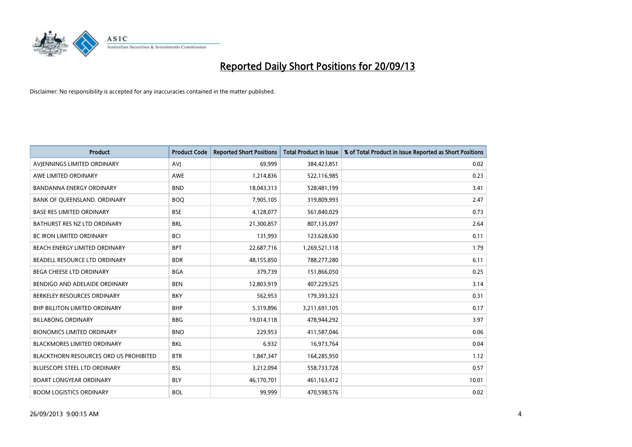

| <b>Product</b>                         | <b>Product Code</b> | <b>Reported Short Positions</b> | <b>Total Product in Issue</b> | % of Total Product in Issue Reported as Short Positions |
|----------------------------------------|---------------------|---------------------------------|-------------------------------|---------------------------------------------------------|
| AVIENNINGS LIMITED ORDINARY            | <b>AVJ</b>          | 69,999                          | 384,423,851                   | 0.02                                                    |
| AWE LIMITED ORDINARY                   | AWE                 | 1,214,836                       | 522,116,985                   | 0.23                                                    |
| <b>BANDANNA ENERGY ORDINARY</b>        | <b>BND</b>          | 18,043,313                      | 528,481,199                   | 3.41                                                    |
| BANK OF QUEENSLAND. ORDINARY           | <b>BOQ</b>          | 7,905,105                       | 319,809,993                   | 2.47                                                    |
| <b>BASE RES LIMITED ORDINARY</b>       | <b>BSE</b>          | 4,128,077                       | 561,840,029                   | 0.73                                                    |
| BATHURST RES NZ LTD ORDINARY           | <b>BRL</b>          | 21,300,857                      | 807,135,097                   | 2.64                                                    |
| <b>BC IRON LIMITED ORDINARY</b>        | <b>BCI</b>          | 131,993                         | 123,628,630                   | 0.11                                                    |
| BEACH ENERGY LIMITED ORDINARY          | <b>BPT</b>          | 22,687,716                      | 1,269,521,118                 | 1.79                                                    |
| BEADELL RESOURCE LTD ORDINARY          | <b>BDR</b>          | 48,155,850                      | 788,277,280                   | 6.11                                                    |
| <b>BEGA CHEESE LTD ORDINARY</b>        | <b>BGA</b>          | 379,739                         | 151,866,050                   | 0.25                                                    |
| BENDIGO AND ADELAIDE ORDINARY          | <b>BEN</b>          | 12,803,919                      | 407,229,525                   | 3.14                                                    |
| BERKELEY RESOURCES ORDINARY            | <b>BKY</b>          | 562,953                         | 179,393,323                   | 0.31                                                    |
| <b>BHP BILLITON LIMITED ORDINARY</b>   | <b>BHP</b>          | 5,319,896                       | 3,211,691,105                 | 0.17                                                    |
| <b>BILLABONG ORDINARY</b>              | <b>BBG</b>          | 19,014,118                      | 478,944,292                   | 3.97                                                    |
| <b>BIONOMICS LIMITED ORDINARY</b>      | <b>BNO</b>          | 229,953                         | 411,587,046                   | 0.06                                                    |
| BLACKMORES LIMITED ORDINARY            | <b>BKL</b>          | 6,932                           | 16,973,764                    | 0.04                                                    |
| BLACKTHORN RESOURCES ORD US PROHIBITED | <b>BTR</b>          | 1,847,347                       | 164,285,950                   | 1.12                                                    |
| BLUESCOPE STEEL LTD ORDINARY           | <b>BSL</b>          | 3,212,094                       | 558,733,728                   | 0.57                                                    |
| <b>BOART LONGYEAR ORDINARY</b>         | <b>BLY</b>          | 46,170,701                      | 461,163,412                   | 10.01                                                   |
| <b>BOOM LOGISTICS ORDINARY</b>         | <b>BOL</b>          | 99,999                          | 470,598,576                   | 0.02                                                    |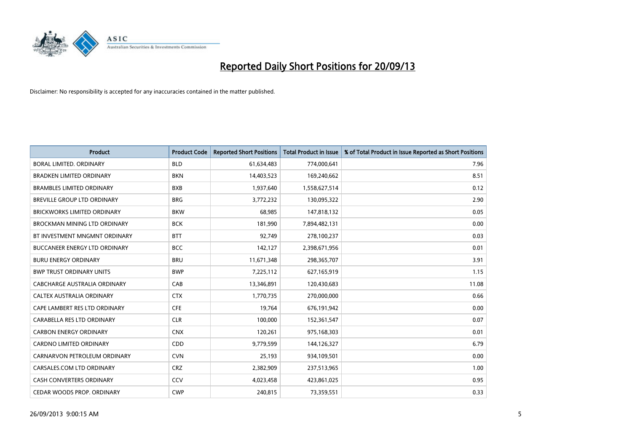

| <b>Product</b>                      | <b>Product Code</b> | <b>Reported Short Positions</b> | <b>Total Product in Issue</b> | % of Total Product in Issue Reported as Short Positions |
|-------------------------------------|---------------------|---------------------------------|-------------------------------|---------------------------------------------------------|
| <b>BORAL LIMITED, ORDINARY</b>      | <b>BLD</b>          | 61,634,483                      | 774,000,641                   | 7.96                                                    |
| <b>BRADKEN LIMITED ORDINARY</b>     | <b>BKN</b>          | 14,403,523                      | 169,240,662                   | 8.51                                                    |
| <b>BRAMBLES LIMITED ORDINARY</b>    | <b>BXB</b>          | 1,937,640                       | 1,558,627,514                 | 0.12                                                    |
| BREVILLE GROUP LTD ORDINARY         | <b>BRG</b>          | 3,772,232                       | 130,095,322                   | 2.90                                                    |
| <b>BRICKWORKS LIMITED ORDINARY</b>  | <b>BKW</b>          | 68,985                          | 147,818,132                   | 0.05                                                    |
| <b>BROCKMAN MINING LTD ORDINARY</b> | <b>BCK</b>          | 181,990                         | 7,894,482,131                 | 0.00                                                    |
| BT INVESTMENT MNGMNT ORDINARY       | <b>BTT</b>          | 92,749                          | 278,100,237                   | 0.03                                                    |
| BUCCANEER ENERGY LTD ORDINARY       | <b>BCC</b>          | 142,127                         | 2,398,671,956                 | 0.01                                                    |
| <b>BURU ENERGY ORDINARY</b>         | <b>BRU</b>          | 11,671,348                      | 298,365,707                   | 3.91                                                    |
| <b>BWP TRUST ORDINARY UNITS</b>     | <b>BWP</b>          | 7,225,112                       | 627,165,919                   | 1.15                                                    |
| CABCHARGE AUSTRALIA ORDINARY        | CAB                 | 13,346,891                      | 120,430,683                   | 11.08                                                   |
| <b>CALTEX AUSTRALIA ORDINARY</b>    | <b>CTX</b>          | 1,770,735                       | 270,000,000                   | 0.66                                                    |
| CAPE LAMBERT RES LTD ORDINARY       | <b>CFE</b>          | 19,764                          | 676,191,942                   | 0.00                                                    |
| CARABELLA RES LTD ORDINARY          | <b>CLR</b>          | 100,000                         | 152,361,547                   | 0.07                                                    |
| <b>CARBON ENERGY ORDINARY</b>       | <b>CNX</b>          | 120,261                         | 975,168,303                   | 0.01                                                    |
| CARDNO LIMITED ORDINARY             | CDD                 | 9,779,599                       | 144,126,327                   | 6.79                                                    |
| CARNARVON PETROLEUM ORDINARY        | <b>CVN</b>          | 25,193                          | 934,109,501                   | 0.00                                                    |
| CARSALES.COM LTD ORDINARY           | <b>CRZ</b>          | 2,382,909                       | 237,513,965                   | 1.00                                                    |
| <b>CASH CONVERTERS ORDINARY</b>     | CCV                 | 4,023,458                       | 423,861,025                   | 0.95                                                    |
| CEDAR WOODS PROP. ORDINARY          | <b>CWP</b>          | 240,815                         | 73,359,551                    | 0.33                                                    |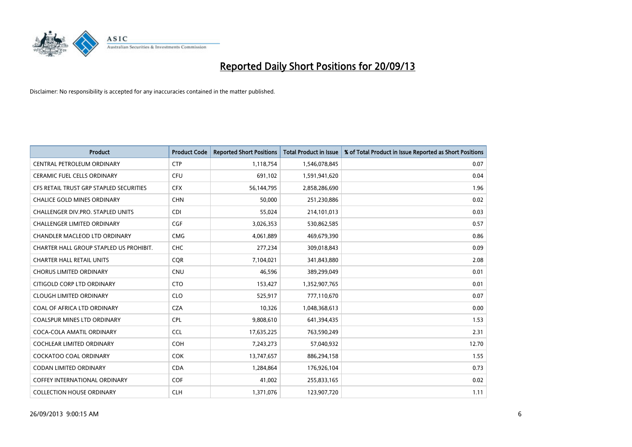

| <b>Product</b>                          | <b>Product Code</b> | <b>Reported Short Positions</b> | <b>Total Product in Issue</b> | % of Total Product in Issue Reported as Short Positions |
|-----------------------------------------|---------------------|---------------------------------|-------------------------------|---------------------------------------------------------|
| CENTRAL PETROLEUM ORDINARY              | <b>CTP</b>          | 1,118,754                       | 1,546,078,845                 | 0.07                                                    |
| CERAMIC FUEL CELLS ORDINARY             | <b>CFU</b>          | 691,102                         | 1,591,941,620                 | 0.04                                                    |
| CFS RETAIL TRUST GRP STAPLED SECURITIES | <b>CFX</b>          | 56,144,795                      | 2,858,286,690                 | 1.96                                                    |
| <b>CHALICE GOLD MINES ORDINARY</b>      | <b>CHN</b>          | 50,000                          | 251,230,886                   | 0.02                                                    |
| CHALLENGER DIV.PRO. STAPLED UNITS       | <b>CDI</b>          | 55,024                          | 214,101,013                   | 0.03                                                    |
| <b>CHALLENGER LIMITED ORDINARY</b>      | <b>CGF</b>          | 3,026,353                       | 530,862,585                   | 0.57                                                    |
| CHANDLER MACLEOD LTD ORDINARY           | <b>CMG</b>          | 4,061,889                       | 469,679,390                   | 0.86                                                    |
| CHARTER HALL GROUP STAPLED US PROHIBIT. | <b>CHC</b>          | 277,234                         | 309,018,843                   | 0.09                                                    |
| <b>CHARTER HALL RETAIL UNITS</b>        | <b>CQR</b>          | 7,104,021                       | 341,843,880                   | 2.08                                                    |
| <b>CHORUS LIMITED ORDINARY</b>          | <b>CNU</b>          | 46,596                          | 389,299,049                   | 0.01                                                    |
| CITIGOLD CORP LTD ORDINARY              | <b>CTO</b>          | 153,427                         | 1,352,907,765                 | 0.01                                                    |
| <b>CLOUGH LIMITED ORDINARY</b>          | <b>CLO</b>          | 525,917                         | 777,110,670                   | 0.07                                                    |
| COAL OF AFRICA LTD ORDINARY             | <b>CZA</b>          | 10,326                          | 1,048,368,613                 | 0.00                                                    |
| <b>COALSPUR MINES LTD ORDINARY</b>      | <b>CPL</b>          | 9,808,610                       | 641,394,435                   | 1.53                                                    |
| COCA-COLA AMATIL ORDINARY               | <b>CCL</b>          | 17,635,225                      | 763,590,249                   | 2.31                                                    |
| COCHLEAR LIMITED ORDINARY               | <b>COH</b>          | 7,243,273                       | 57,040,932                    | 12.70                                                   |
| <b>COCKATOO COAL ORDINARY</b>           | <b>COK</b>          | 13,747,657                      | 886,294,158                   | 1.55                                                    |
| <b>CODAN LIMITED ORDINARY</b>           | <b>CDA</b>          | 1,284,864                       | 176,926,104                   | 0.73                                                    |
| <b>COFFEY INTERNATIONAL ORDINARY</b>    | <b>COF</b>          | 41,002                          | 255,833,165                   | 0.02                                                    |
| <b>COLLECTION HOUSE ORDINARY</b>        | <b>CLH</b>          | 1,371,076                       | 123,907,720                   | 1.11                                                    |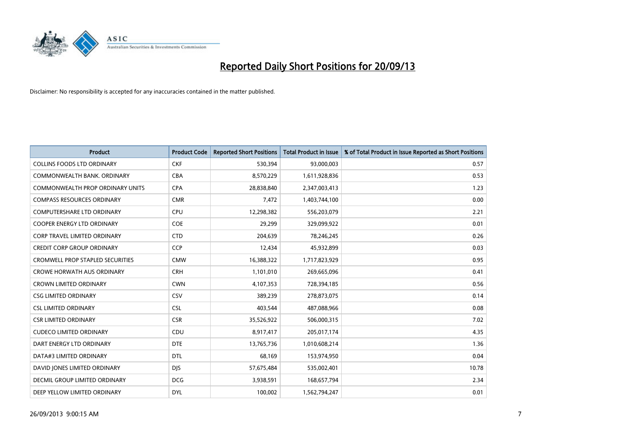

| <b>Product</b>                          | <b>Product Code</b> | <b>Reported Short Positions</b> | <b>Total Product in Issue</b> | % of Total Product in Issue Reported as Short Positions |
|-----------------------------------------|---------------------|---------------------------------|-------------------------------|---------------------------------------------------------|
| <b>COLLINS FOODS LTD ORDINARY</b>       | <b>CKF</b>          | 530,394                         | 93,000,003                    | 0.57                                                    |
| COMMONWEALTH BANK, ORDINARY             | <b>CBA</b>          | 8,570,229                       | 1,611,928,836                 | 0.53                                                    |
| <b>COMMONWEALTH PROP ORDINARY UNITS</b> | <b>CPA</b>          | 28,838,840                      | 2,347,003,413                 | 1.23                                                    |
| <b>COMPASS RESOURCES ORDINARY</b>       | <b>CMR</b>          | 7,472                           | 1,403,744,100                 | 0.00                                                    |
| <b>COMPUTERSHARE LTD ORDINARY</b>       | <b>CPU</b>          | 12,298,382                      | 556,203,079                   | 2.21                                                    |
| <b>COOPER ENERGY LTD ORDINARY</b>       | <b>COE</b>          | 29,299                          | 329,099,922                   | 0.01                                                    |
| <b>CORP TRAVEL LIMITED ORDINARY</b>     | <b>CTD</b>          | 204,639                         | 78,246,245                    | 0.26                                                    |
| <b>CREDIT CORP GROUP ORDINARY</b>       | <b>CCP</b>          | 12,434                          | 45,932,899                    | 0.03                                                    |
| <b>CROMWELL PROP STAPLED SECURITIES</b> | <b>CMW</b>          | 16,388,322                      | 1,717,823,929                 | 0.95                                                    |
| <b>CROWE HORWATH AUS ORDINARY</b>       | <b>CRH</b>          | 1,101,010                       | 269,665,096                   | 0.41                                                    |
| <b>CROWN LIMITED ORDINARY</b>           | <b>CWN</b>          | 4,107,353                       | 728,394,185                   | 0.56                                                    |
| <b>CSG LIMITED ORDINARY</b>             | CSV                 | 389,239                         | 278,873,075                   | 0.14                                                    |
| <b>CSL LIMITED ORDINARY</b>             | <b>CSL</b>          | 403,544                         | 487,088,966                   | 0.08                                                    |
| <b>CSR LIMITED ORDINARY</b>             | <b>CSR</b>          | 35,526,922                      | 506,000,315                   | 7.02                                                    |
| <b>CUDECO LIMITED ORDINARY</b>          | CDU                 | 8,917,417                       | 205,017,174                   | 4.35                                                    |
| DART ENERGY LTD ORDINARY                | <b>DTE</b>          | 13,765,736                      | 1,010,608,214                 | 1.36                                                    |
| DATA#3 LIMITED ORDINARY                 | DTL                 | 68,169                          | 153,974,950                   | 0.04                                                    |
| DAVID JONES LIMITED ORDINARY            | <b>DJS</b>          | 57,675,484                      | 535,002,401                   | 10.78                                                   |
| DECMIL GROUP LIMITED ORDINARY           | <b>DCG</b>          | 3,938,591                       | 168,657,794                   | 2.34                                                    |
| DEEP YELLOW LIMITED ORDINARY            | <b>DYL</b>          | 100,002                         | 1,562,794,247                 | 0.01                                                    |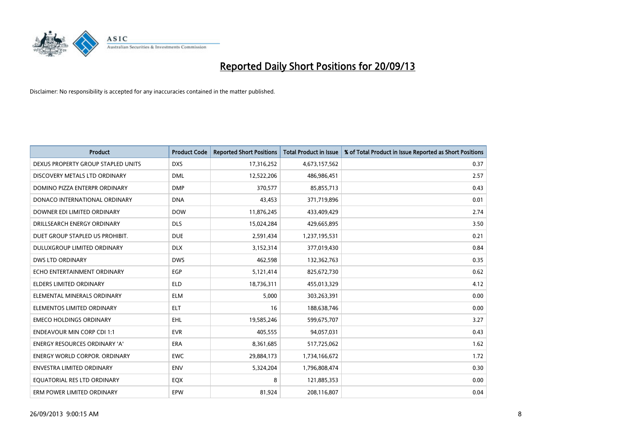

| <b>Product</b>                       | <b>Product Code</b> | <b>Reported Short Positions</b> | <b>Total Product in Issue</b> | % of Total Product in Issue Reported as Short Positions |
|--------------------------------------|---------------------|---------------------------------|-------------------------------|---------------------------------------------------------|
| DEXUS PROPERTY GROUP STAPLED UNITS   | <b>DXS</b>          | 17,316,252                      | 4,673,157,562                 | 0.37                                                    |
| DISCOVERY METALS LTD ORDINARY        | <b>DML</b>          | 12,522,206                      | 486,986,451                   | 2.57                                                    |
| DOMINO PIZZA ENTERPR ORDINARY        | <b>DMP</b>          | 370,577                         | 85,855,713                    | 0.43                                                    |
| DONACO INTERNATIONAL ORDINARY        | <b>DNA</b>          | 43,453                          | 371,719,896                   | 0.01                                                    |
| DOWNER EDI LIMITED ORDINARY          | <b>DOW</b>          | 11,876,245                      | 433,409,429                   | 2.74                                                    |
| DRILLSEARCH ENERGY ORDINARY          | <b>DLS</b>          | 15,024,284                      | 429,665,895                   | 3.50                                                    |
| DUET GROUP STAPLED US PROHIBIT.      | <b>DUE</b>          | 2,591,434                       | 1,237,195,531                 | 0.21                                                    |
| DULUXGROUP LIMITED ORDINARY          | <b>DLX</b>          | 3,152,314                       | 377,019,430                   | 0.84                                                    |
| <b>DWS LTD ORDINARY</b>              | <b>DWS</b>          | 462,598                         | 132,362,763                   | 0.35                                                    |
| ECHO ENTERTAINMENT ORDINARY          | <b>EGP</b>          | 5,121,414                       | 825,672,730                   | 0.62                                                    |
| ELDERS LIMITED ORDINARY              | <b>ELD</b>          | 18,736,311                      | 455,013,329                   | 4.12                                                    |
| ELEMENTAL MINERALS ORDINARY          | <b>ELM</b>          | 5,000                           | 303,263,391                   | 0.00                                                    |
| ELEMENTOS LIMITED ORDINARY           | ELT                 | 16                              | 188,638,746                   | 0.00                                                    |
| <b>EMECO HOLDINGS ORDINARY</b>       | <b>EHL</b>          | 19,585,246                      | 599,675,707                   | 3.27                                                    |
| <b>ENDEAVOUR MIN CORP CDI 1:1</b>    | <b>EVR</b>          | 405,555                         | 94,057,031                    | 0.43                                                    |
| <b>ENERGY RESOURCES ORDINARY 'A'</b> | <b>ERA</b>          | 8,361,685                       | 517,725,062                   | 1.62                                                    |
| <b>ENERGY WORLD CORPOR. ORDINARY</b> | <b>EWC</b>          | 29,884,173                      | 1,734,166,672                 | 1.72                                                    |
| ENVESTRA LIMITED ORDINARY            | <b>ENV</b>          | 5,324,204                       | 1,796,808,474                 | 0.30                                                    |
| EOUATORIAL RES LTD ORDINARY          | EQX                 | 8                               | 121,885,353                   | 0.00                                                    |
| ERM POWER LIMITED ORDINARY           | EPW                 | 81,924                          | 208,116,807                   | 0.04                                                    |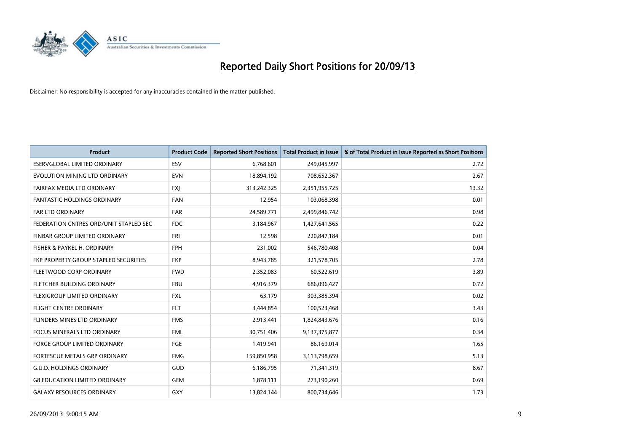

| <b>Product</b>                         | <b>Product Code</b> | <b>Reported Short Positions</b> | <b>Total Product in Issue</b> | % of Total Product in Issue Reported as Short Positions |
|----------------------------------------|---------------------|---------------------------------|-------------------------------|---------------------------------------------------------|
| <b>ESERVGLOBAL LIMITED ORDINARY</b>    | ESV                 | 6,768,601                       | 249,045,997                   | 2.72                                                    |
| EVOLUTION MINING LTD ORDINARY          | <b>EVN</b>          | 18,894,192                      | 708,652,367                   | 2.67                                                    |
| FAIRFAX MEDIA LTD ORDINARY             | <b>FXI</b>          | 313,242,325                     | 2,351,955,725                 | 13.32                                                   |
| <b>FANTASTIC HOLDINGS ORDINARY</b>     | <b>FAN</b>          | 12,954                          | 103,068,398                   | 0.01                                                    |
| <b>FAR LTD ORDINARY</b>                | <b>FAR</b>          | 24,589,771                      | 2,499,846,742                 | 0.98                                                    |
| FEDERATION CNTRES ORD/UNIT STAPLED SEC | <b>FDC</b>          | 3,184,967                       | 1,427,641,565                 | 0.22                                                    |
| FINBAR GROUP LIMITED ORDINARY          | <b>FRI</b>          | 12,598                          | 220,847,184                   | 0.01                                                    |
| FISHER & PAYKEL H. ORDINARY            | <b>FPH</b>          | 231,002                         | 546,780,408                   | 0.04                                                    |
| FKP PROPERTY GROUP STAPLED SECURITIES  | <b>FKP</b>          | 8,943,785                       | 321,578,705                   | 2.78                                                    |
| FLEETWOOD CORP ORDINARY                | <b>FWD</b>          | 2,352,083                       | 60,522,619                    | 3.89                                                    |
| FLETCHER BUILDING ORDINARY             | <b>FBU</b>          | 4,916,379                       | 686,096,427                   | 0.72                                                    |
| FLEXIGROUP LIMITED ORDINARY            | FXL                 | 63,179                          | 303,385,394                   | 0.02                                                    |
| <b>FLIGHT CENTRE ORDINARY</b>          | <b>FLT</b>          | 3,444,854                       | 100,523,468                   | 3.43                                                    |
| FLINDERS MINES LTD ORDINARY            | <b>FMS</b>          | 2,913,441                       | 1,824,843,676                 | 0.16                                                    |
| <b>FOCUS MINERALS LTD ORDINARY</b>     | <b>FML</b>          | 30,751,406                      | 9,137,375,877                 | 0.34                                                    |
| FORGE GROUP LIMITED ORDINARY           | FGE                 | 1,419,941                       | 86,169,014                    | 1.65                                                    |
| FORTESCUE METALS GRP ORDINARY          | <b>FMG</b>          | 159,850,958                     | 3,113,798,659                 | 5.13                                                    |
| <b>G.U.D. HOLDINGS ORDINARY</b>        | GUD                 | 6,186,795                       | 71,341,319                    | 8.67                                                    |
| <b>G8 EDUCATION LIMITED ORDINARY</b>   | <b>GEM</b>          | 1,878,111                       | 273,190,260                   | 0.69                                                    |
| <b>GALAXY RESOURCES ORDINARY</b>       | <b>GXY</b>          | 13,824,144                      | 800,734,646                   | 1.73                                                    |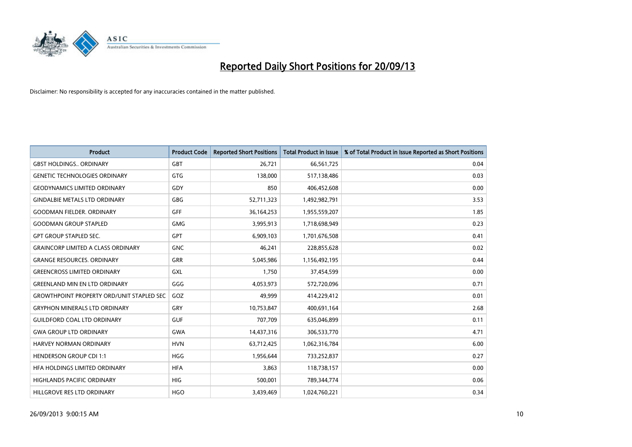

| <b>Product</b>                                   | <b>Product Code</b> | <b>Reported Short Positions</b> | <b>Total Product in Issue</b> | % of Total Product in Issue Reported as Short Positions |
|--------------------------------------------------|---------------------|---------------------------------|-------------------------------|---------------------------------------------------------|
| <b>GBST HOLDINGS., ORDINARY</b>                  | GBT                 | 26,721                          | 66,561,725                    | 0.04                                                    |
| <b>GENETIC TECHNOLOGIES ORDINARY</b>             | <b>GTG</b>          | 138,000                         | 517,138,486                   | 0.03                                                    |
| <b>GEODYNAMICS LIMITED ORDINARY</b>              | <b>GDY</b>          | 850                             | 406,452,608                   | 0.00                                                    |
| <b>GINDALBIE METALS LTD ORDINARY</b>             | <b>GBG</b>          | 52,711,323                      | 1,492,982,791                 | 3.53                                                    |
| <b>GOODMAN FIELDER, ORDINARY</b>                 | GFF                 | 36,164,253                      | 1,955,559,207                 | 1.85                                                    |
| <b>GOODMAN GROUP STAPLED</b>                     | <b>GMG</b>          | 3,995,913                       | 1,718,698,949                 | 0.23                                                    |
| <b>GPT GROUP STAPLED SEC.</b>                    | <b>GPT</b>          | 6,909,103                       | 1,701,676,508                 | 0.41                                                    |
| <b>GRAINCORP LIMITED A CLASS ORDINARY</b>        | <b>GNC</b>          | 46,241                          | 228,855,628                   | 0.02                                                    |
| <b>GRANGE RESOURCES, ORDINARY</b>                | <b>GRR</b>          | 5,045,986                       | 1,156,492,195                 | 0.44                                                    |
| <b>GREENCROSS LIMITED ORDINARY</b>               | <b>GXL</b>          | 1,750                           | 37,454,599                    | 0.00                                                    |
| <b>GREENLAND MIN EN LTD ORDINARY</b>             | GGG                 | 4,053,973                       | 572,720,096                   | 0.71                                                    |
| <b>GROWTHPOINT PROPERTY ORD/UNIT STAPLED SEC</b> | GOZ                 | 49,999                          | 414,229,412                   | 0.01                                                    |
| <b>GRYPHON MINERALS LTD ORDINARY</b>             | GRY                 | 10,753,847                      | 400,691,164                   | 2.68                                                    |
| <b>GUILDFORD COAL LTD ORDINARY</b>               | <b>GUF</b>          | 707,709                         | 635,046,899                   | 0.11                                                    |
| <b>GWA GROUP LTD ORDINARY</b>                    | <b>GWA</b>          | 14,437,316                      | 306,533,770                   | 4.71                                                    |
| <b>HARVEY NORMAN ORDINARY</b>                    | <b>HVN</b>          | 63,712,425                      | 1,062,316,784                 | 6.00                                                    |
| <b>HENDERSON GROUP CDI 1:1</b>                   | <b>HGG</b>          | 1,956,644                       | 733,252,837                   | 0.27                                                    |
| HFA HOLDINGS LIMITED ORDINARY                    | <b>HFA</b>          | 3,863                           | 118,738,157                   | 0.00                                                    |
| <b>HIGHLANDS PACIFIC ORDINARY</b>                | <b>HIG</b>          | 500,001                         | 789,344,774                   | 0.06                                                    |
| HILLGROVE RES LTD ORDINARY                       | <b>HGO</b>          | 3,439,469                       | 1,024,760,221                 | 0.34                                                    |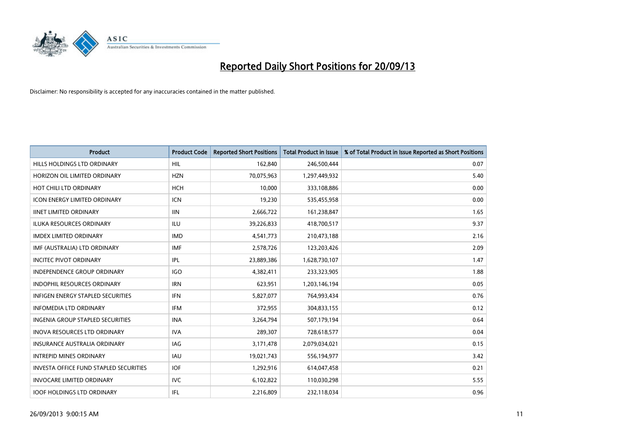

| <b>Product</b>                                | <b>Product Code</b> | <b>Reported Short Positions</b> | <b>Total Product in Issue</b> | % of Total Product in Issue Reported as Short Positions |
|-----------------------------------------------|---------------------|---------------------------------|-------------------------------|---------------------------------------------------------|
| HILLS HOLDINGS LTD ORDINARY                   | <b>HIL</b>          | 162,840                         | 246,500,444                   | 0.07                                                    |
| HORIZON OIL LIMITED ORDINARY                  | <b>HZN</b>          | 70,075,963                      | 1,297,449,932                 | 5.40                                                    |
| HOT CHILI LTD ORDINARY                        | <b>HCH</b>          | 10,000                          | 333,108,886                   | 0.00                                                    |
| <b>ICON ENERGY LIMITED ORDINARY</b>           | <b>ICN</b>          | 19,230                          | 535,455,958                   | 0.00                                                    |
| <b>IINET LIMITED ORDINARY</b>                 | <b>IIN</b>          | 2,666,722                       | 161,238,847                   | 1.65                                                    |
| <b>ILUKA RESOURCES ORDINARY</b>               | <b>ILU</b>          | 39,226,833                      | 418,700,517                   | 9.37                                                    |
| <b>IMDEX LIMITED ORDINARY</b>                 | <b>IMD</b>          | 4,541,773                       | 210,473,188                   | 2.16                                                    |
| IMF (AUSTRALIA) LTD ORDINARY                  | <b>IMF</b>          | 2,578,726                       | 123,203,426                   | 2.09                                                    |
| <b>INCITEC PIVOT ORDINARY</b>                 | <b>IPL</b>          | 23,889,386                      | 1,628,730,107                 | 1.47                                                    |
| <b>INDEPENDENCE GROUP ORDINARY</b>            | <b>IGO</b>          | 4,382,411                       | 233,323,905                   | 1.88                                                    |
| INDOPHIL RESOURCES ORDINARY                   | <b>IRN</b>          | 623,951                         | 1,203,146,194                 | 0.05                                                    |
| <b>INFIGEN ENERGY STAPLED SECURITIES</b>      | <b>IFN</b>          | 5,827,077                       | 764,993,434                   | 0.76                                                    |
| <b>INFOMEDIA LTD ORDINARY</b>                 | <b>IFM</b>          | 372,955                         | 304,833,155                   | 0.12                                                    |
| INGENIA GROUP STAPLED SECURITIES              | <b>INA</b>          | 3,264,794                       | 507,179,194                   | 0.64                                                    |
| <b>INOVA RESOURCES LTD ORDINARY</b>           | <b>IVA</b>          | 289,307                         | 728,618,577                   | 0.04                                                    |
| <b>INSURANCE AUSTRALIA ORDINARY</b>           | IAG                 | 3,171,478                       | 2,079,034,021                 | 0.15                                                    |
| <b>INTREPID MINES ORDINARY</b>                | <b>IAU</b>          | 19,021,743                      | 556,194,977                   | 3.42                                                    |
| <b>INVESTA OFFICE FUND STAPLED SECURITIES</b> | <b>IOF</b>          | 1,292,916                       | 614,047,458                   | 0.21                                                    |
| <b>INVOCARE LIMITED ORDINARY</b>              | IVC                 | 6,102,822                       | 110,030,298                   | 5.55                                                    |
| <b>IOOF HOLDINGS LTD ORDINARY</b>             | IFL                 | 2,216,809                       | 232,118,034                   | 0.96                                                    |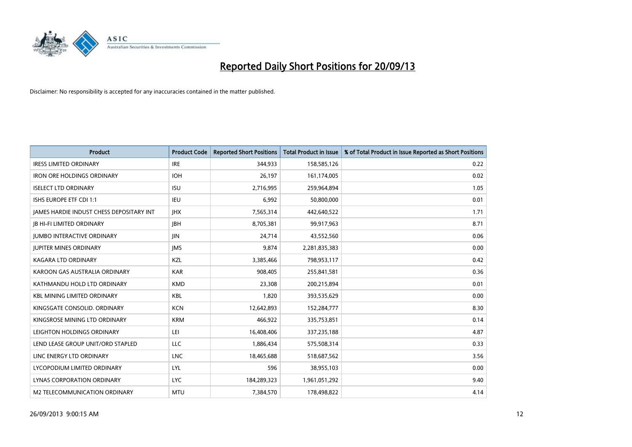

| Product                                         | <b>Product Code</b> | <b>Reported Short Positions</b> | <b>Total Product in Issue</b> | % of Total Product in Issue Reported as Short Positions |
|-------------------------------------------------|---------------------|---------------------------------|-------------------------------|---------------------------------------------------------|
| <b>IRESS LIMITED ORDINARY</b>                   | <b>IRE</b>          | 344,933                         | 158,585,126                   | 0.22                                                    |
| <b>IRON ORE HOLDINGS ORDINARY</b>               | <b>IOH</b>          | 26,197                          | 161,174,005                   | 0.02                                                    |
| <b>ISELECT LTD ORDINARY</b>                     | <b>ISU</b>          | 2,716,995                       | 259,964,894                   | 1.05                                                    |
| ISHS EUROPE ETF CDI 1:1                         | <b>IEU</b>          | 6,992                           | 50,800,000                    | 0.01                                                    |
| <b>IAMES HARDIE INDUST CHESS DEPOSITARY INT</b> | <b>IHX</b>          | 7,565,314                       | 442,640,522                   | 1.71                                                    |
| <b>JB HI-FI LIMITED ORDINARY</b>                | <b>JBH</b>          | 8,705,381                       | 99,917,963                    | 8.71                                                    |
| <b>JUMBO INTERACTIVE ORDINARY</b>               | JIN                 | 24,714                          | 43,552,560                    | 0.06                                                    |
| <b>JUPITER MINES ORDINARY</b>                   | <b>IMS</b>          | 9,874                           | 2,281,835,383                 | 0.00                                                    |
| <b>KAGARA LTD ORDINARY</b>                      | KZL                 | 3,385,466                       | 798,953,117                   | 0.42                                                    |
| KAROON GAS AUSTRALIA ORDINARY                   | <b>KAR</b>          | 908,405                         | 255,841,581                   | 0.36                                                    |
| KATHMANDU HOLD LTD ORDINARY                     | <b>KMD</b>          | 23,308                          | 200,215,894                   | 0.01                                                    |
| <b>KBL MINING LIMITED ORDINARY</b>              | <b>KBL</b>          | 1,820                           | 393,535,629                   | 0.00                                                    |
| KINGSGATE CONSOLID, ORDINARY                    | <b>KCN</b>          | 12,642,893                      | 152,284,777                   | 8.30                                                    |
| KINGSROSE MINING LTD ORDINARY                   | <b>KRM</b>          | 466,922                         | 335,753,851                   | 0.14                                                    |
| LEIGHTON HOLDINGS ORDINARY                      | LEI                 | 16,408,406                      | 337,235,188                   | 4.87                                                    |
| LEND LEASE GROUP UNIT/ORD STAPLED               | LLC                 | 1,886,434                       | 575,508,314                   | 0.33                                                    |
| LINC ENERGY LTD ORDINARY                        | <b>LNC</b>          | 18,465,688                      | 518,687,562                   | 3.56                                                    |
| LYCOPODIUM LIMITED ORDINARY                     | <b>LYL</b>          | 596                             | 38,955,103                    | 0.00                                                    |
| LYNAS CORPORATION ORDINARY                      | <b>LYC</b>          | 184,289,323                     | 1,961,051,292                 | 9.40                                                    |
| M2 TELECOMMUNICATION ORDINARY                   | <b>MTU</b>          | 7,384,570                       | 178,498,822                   | 4.14                                                    |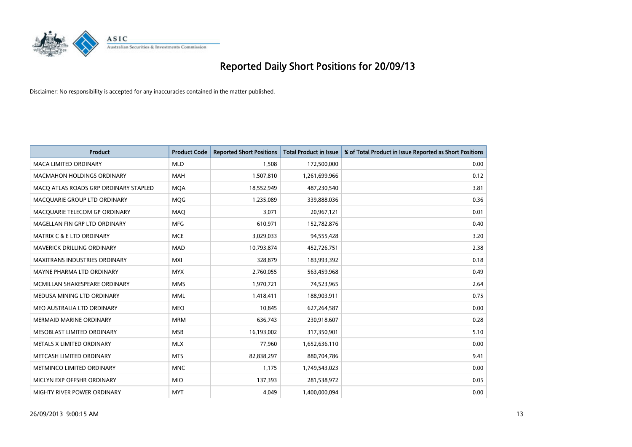

| <b>Product</b>                        | <b>Product Code</b> | <b>Reported Short Positions</b> | <b>Total Product in Issue</b> | % of Total Product in Issue Reported as Short Positions |
|---------------------------------------|---------------------|---------------------------------|-------------------------------|---------------------------------------------------------|
| <b>MACA LIMITED ORDINARY</b>          | <b>MLD</b>          | 1,508                           | 172,500,000                   | 0.00                                                    |
| <b>MACMAHON HOLDINGS ORDINARY</b>     | MAH                 | 1,507,810                       | 1,261,699,966                 | 0.12                                                    |
| MACO ATLAS ROADS GRP ORDINARY STAPLED | <b>MQA</b>          | 18,552,949                      | 487,230,540                   | 3.81                                                    |
| MACQUARIE GROUP LTD ORDINARY          | <b>MOG</b>          | 1,235,089                       | 339,888,036                   | 0.36                                                    |
| MACQUARIE TELECOM GP ORDINARY         | <b>MAQ</b>          | 3,071                           | 20,967,121                    | 0.01                                                    |
| MAGELLAN FIN GRP LTD ORDINARY         | <b>MFG</b>          | 610,971                         | 152,782,876                   | 0.40                                                    |
| <b>MATRIX C &amp; E LTD ORDINARY</b>  | <b>MCE</b>          | 3,029,033                       | 94,555,428                    | 3.20                                                    |
| MAVERICK DRILLING ORDINARY            | MAD                 | 10,793,874                      | 452,726,751                   | 2.38                                                    |
| MAXITRANS INDUSTRIES ORDINARY         | <b>MXI</b>          | 328,879                         | 183,993,392                   | 0.18                                                    |
| MAYNE PHARMA LTD ORDINARY             | <b>MYX</b>          | 2,760,055                       | 563,459,968                   | 0.49                                                    |
| MCMILLAN SHAKESPEARE ORDINARY         | <b>MMS</b>          | 1,970,721                       | 74,523,965                    | 2.64                                                    |
| MEDUSA MINING LTD ORDINARY            | <b>MML</b>          | 1,418,411                       | 188,903,911                   | 0.75                                                    |
| MEO AUSTRALIA LTD ORDINARY            | <b>MEO</b>          | 10,845                          | 627,264,587                   | 0.00                                                    |
| <b>MERMAID MARINE ORDINARY</b>        | <b>MRM</b>          | 636,743                         | 230,918,607                   | 0.28                                                    |
| MESOBLAST LIMITED ORDINARY            | <b>MSB</b>          | 16,193,002                      | 317,350,901                   | 5.10                                                    |
| METALS X LIMITED ORDINARY             | <b>MLX</b>          | 77,960                          | 1,652,636,110                 | 0.00                                                    |
| METCASH LIMITED ORDINARY              | <b>MTS</b>          | 82,838,297                      | 880,704,786                   | 9.41                                                    |
| METMINCO LIMITED ORDINARY             | <b>MNC</b>          | 1,175                           | 1,749,543,023                 | 0.00                                                    |
| MICLYN EXP OFFSHR ORDINARY            | <b>MIO</b>          | 137,393                         | 281,538,972                   | 0.05                                                    |
| MIGHTY RIVER POWER ORDINARY           | <b>MYT</b>          | 4,049                           | 1,400,000,094                 | 0.00                                                    |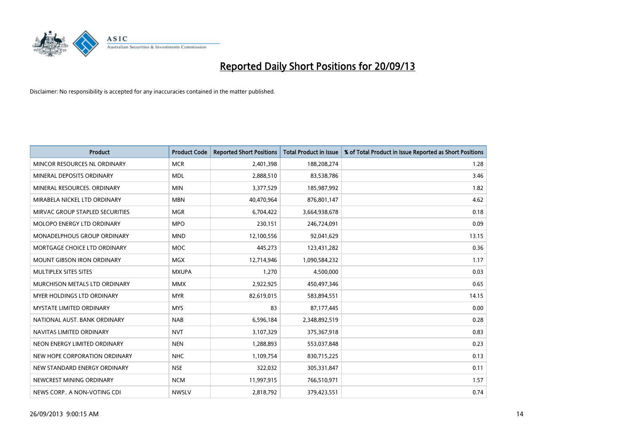

| <b>Product</b>                    | <b>Product Code</b> | <b>Reported Short Positions</b> | <b>Total Product in Issue</b> | % of Total Product in Issue Reported as Short Positions |
|-----------------------------------|---------------------|---------------------------------|-------------------------------|---------------------------------------------------------|
| MINCOR RESOURCES NL ORDINARY      | <b>MCR</b>          | 2,401,398                       | 188,208,274                   | 1.28                                                    |
| MINERAL DEPOSITS ORDINARY         | <b>MDL</b>          | 2,888,510                       | 83,538,786                    | 3.46                                                    |
| MINERAL RESOURCES, ORDINARY       | <b>MIN</b>          | 3,377,529                       | 185,987,992                   | 1.82                                                    |
| MIRABELA NICKEL LTD ORDINARY      | <b>MBN</b>          | 40,470,964                      | 876,801,147                   | 4.62                                                    |
| MIRVAC GROUP STAPLED SECURITIES   | <b>MGR</b>          | 6,704,422                       | 3,664,938,678                 | 0.18                                                    |
| MOLOPO ENERGY LTD ORDINARY        | <b>MPO</b>          | 230,151                         | 246,724,091                   | 0.09                                                    |
| MONADELPHOUS GROUP ORDINARY       | <b>MND</b>          | 12,100,556                      | 92,041,629                    | 13.15                                                   |
| MORTGAGE CHOICE LTD ORDINARY      | MOC                 | 445,273                         | 123,431,282                   | 0.36                                                    |
| <b>MOUNT GIBSON IRON ORDINARY</b> | <b>MGX</b>          | 12,714,946                      | 1,090,584,232                 | 1.17                                                    |
| MULTIPLEX SITES SITES             | <b>MXUPA</b>        | 1,270                           | 4,500,000                     | 0.03                                                    |
| MURCHISON METALS LTD ORDINARY     | <b>MMX</b>          | 2,922,925                       | 450,497,346                   | 0.65                                                    |
| MYER HOLDINGS LTD ORDINARY        | <b>MYR</b>          | 82,619,015                      | 583,894,551                   | 14.15                                                   |
| <b>MYSTATE LIMITED ORDINARY</b>   | <b>MYS</b>          | 83                              | 87,177,445                    | 0.00                                                    |
| NATIONAL AUST. BANK ORDINARY      | <b>NAB</b>          | 6,596,184                       | 2,348,892,519                 | 0.28                                                    |
| NAVITAS LIMITED ORDINARY          | <b>NVT</b>          | 3,107,329                       | 375,367,918                   | 0.83                                                    |
| NEON ENERGY LIMITED ORDINARY      | <b>NEN</b>          | 1,288,893                       | 553,037,848                   | 0.23                                                    |
| NEW HOPE CORPORATION ORDINARY     | <b>NHC</b>          | 1,109,754                       | 830,715,225                   | 0.13                                                    |
| NEW STANDARD ENERGY ORDINARY      | <b>NSE</b>          | 322,032                         | 305,331,847                   | 0.11                                                    |
| NEWCREST MINING ORDINARY          | <b>NCM</b>          | 11,997,915                      | 766,510,971                   | 1.57                                                    |
| NEWS CORP A NON-VOTING CDI        | <b>NWSLV</b>        | 2,818,792                       | 379,423,551                   | 0.74                                                    |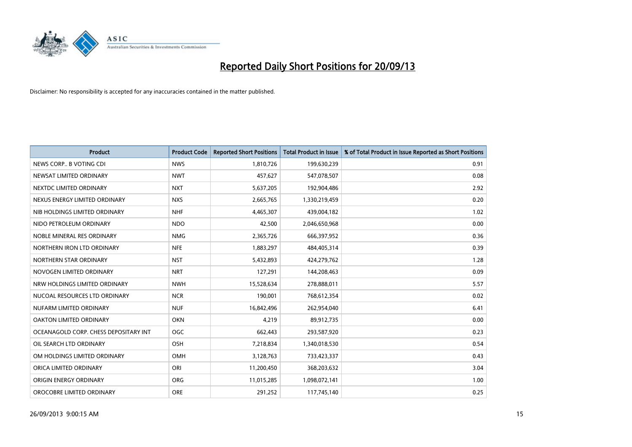

| <b>Product</b>                        | <b>Product Code</b> | <b>Reported Short Positions</b> | <b>Total Product in Issue</b> | % of Total Product in Issue Reported as Short Positions |
|---------------------------------------|---------------------|---------------------------------|-------------------------------|---------------------------------------------------------|
| NEWS CORP B VOTING CDI                | <b>NWS</b>          | 1,810,726                       | 199,630,239                   | 0.91                                                    |
| NEWSAT LIMITED ORDINARY               | <b>NWT</b>          | 457,627                         | 547,078,507                   | 0.08                                                    |
| NEXTDC LIMITED ORDINARY               | <b>NXT</b>          | 5,637,205                       | 192,904,486                   | 2.92                                                    |
| NEXUS ENERGY LIMITED ORDINARY         | <b>NXS</b>          | 2,665,765                       | 1,330,219,459                 | 0.20                                                    |
| NIB HOLDINGS LIMITED ORDINARY         | <b>NHF</b>          | 4,465,307                       | 439,004,182                   | 1.02                                                    |
| NIDO PETROLEUM ORDINARY               | <b>NDO</b>          | 42,500                          | 2,046,650,968                 | 0.00                                                    |
| NOBLE MINERAL RES ORDINARY            | <b>NMG</b>          | 2,365,726                       | 666,397,952                   | 0.36                                                    |
| NORTHERN IRON LTD ORDINARY            | <b>NFE</b>          | 1,883,297                       | 484,405,314                   | 0.39                                                    |
| NORTHERN STAR ORDINARY                | <b>NST</b>          | 5,432,893                       | 424,279,762                   | 1.28                                                    |
| NOVOGEN LIMITED ORDINARY              | <b>NRT</b>          | 127,291                         | 144,208,463                   | 0.09                                                    |
| NRW HOLDINGS LIMITED ORDINARY         | <b>NWH</b>          | 15,528,634                      | 278,888,011                   | 5.57                                                    |
| NUCOAL RESOURCES LTD ORDINARY         | <b>NCR</b>          | 190,001                         | 768,612,354                   | 0.02                                                    |
| NUFARM LIMITED ORDINARY               | <b>NUF</b>          | 16,842,496                      | 262,954,040                   | 6.41                                                    |
| OAKTON LIMITED ORDINARY               | <b>OKN</b>          | 4,219                           | 89,912,735                    | 0.00                                                    |
| OCEANAGOLD CORP. CHESS DEPOSITARY INT | <b>OGC</b>          | 662,443                         | 293,587,920                   | 0.23                                                    |
| OIL SEARCH LTD ORDINARY               | OSH                 | 7,218,834                       | 1,340,018,530                 | 0.54                                                    |
| OM HOLDINGS LIMITED ORDINARY          | OMH                 | 3,128,763                       | 733,423,337                   | 0.43                                                    |
| ORICA LIMITED ORDINARY                | ORI                 | 11,200,450                      | 368,203,632                   | 3.04                                                    |
| ORIGIN ENERGY ORDINARY                | <b>ORG</b>          | 11,015,285                      | 1,098,072,141                 | 1.00                                                    |
| OROCOBRE LIMITED ORDINARY             | <b>ORE</b>          | 291,252                         | 117,745,140                   | 0.25                                                    |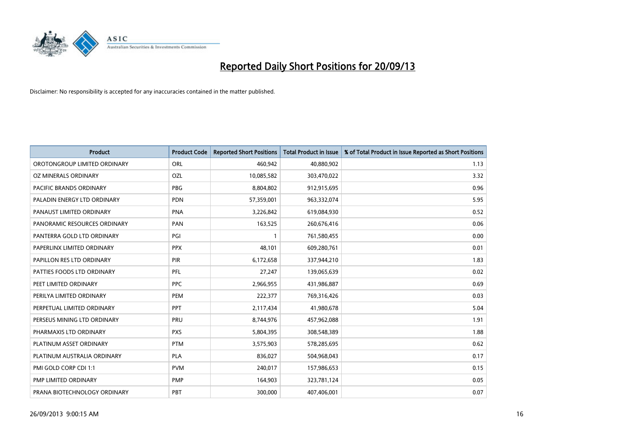

| <b>Product</b>               | <b>Product Code</b> | <b>Reported Short Positions</b> | <b>Total Product in Issue</b> | % of Total Product in Issue Reported as Short Positions |
|------------------------------|---------------------|---------------------------------|-------------------------------|---------------------------------------------------------|
| OROTONGROUP LIMITED ORDINARY | ORL                 | 460,942                         | 40,880,902                    | 1.13                                                    |
| OZ MINERALS ORDINARY         | OZL                 | 10,085,582                      | 303,470,022                   | 3.32                                                    |
| PACIFIC BRANDS ORDINARY      | <b>PBG</b>          | 8,804,802                       | 912,915,695                   | 0.96                                                    |
| PALADIN ENERGY LTD ORDINARY  | <b>PDN</b>          | 57,359,001                      | 963,332,074                   | 5.95                                                    |
| PANAUST LIMITED ORDINARY     | <b>PNA</b>          | 3,226,842                       | 619,084,930                   | 0.52                                                    |
| PANORAMIC RESOURCES ORDINARY | PAN                 | 163,525                         | 260,676,416                   | 0.06                                                    |
| PANTERRA GOLD LTD ORDINARY   | PGI                 | 1                               | 761,580,455                   | 0.00                                                    |
| PAPERLINX LIMITED ORDINARY   | <b>PPX</b>          | 48,101                          | 609,280,761                   | 0.01                                                    |
| PAPILLON RES LTD ORDINARY    | PIR                 | 6,172,658                       | 337,944,210                   | 1.83                                                    |
| PATTIES FOODS LTD ORDINARY   | PFL                 | 27,247                          | 139,065,639                   | 0.02                                                    |
| PEET LIMITED ORDINARY        | <b>PPC</b>          | 2,966,955                       | 431,986,887                   | 0.69                                                    |
| PERILYA LIMITED ORDINARY     | PEM                 | 222,377                         | 769,316,426                   | 0.03                                                    |
| PERPETUAL LIMITED ORDINARY   | <b>PPT</b>          | 2,117,434                       | 41,980,678                    | 5.04                                                    |
| PERSEUS MINING LTD ORDINARY  | <b>PRU</b>          | 8,744,976                       | 457,962,088                   | 1.91                                                    |
| PHARMAXIS LTD ORDINARY       | <b>PXS</b>          | 5,804,395                       | 308,548,389                   | 1.88                                                    |
| PLATINUM ASSET ORDINARY      | <b>PTM</b>          | 3,575,903                       | 578,285,695                   | 0.62                                                    |
| PLATINUM AUSTRALIA ORDINARY  | <b>PLA</b>          | 836,027                         | 504,968,043                   | 0.17                                                    |
| PMI GOLD CORP CDI 1:1        | <b>PVM</b>          | 240,017                         | 157,986,653                   | 0.15                                                    |
| PMP LIMITED ORDINARY         | <b>PMP</b>          | 164,903                         | 323,781,124                   | 0.05                                                    |
| PRANA BIOTECHNOLOGY ORDINARY | PBT                 | 300,000                         | 407,406,001                   | 0.07                                                    |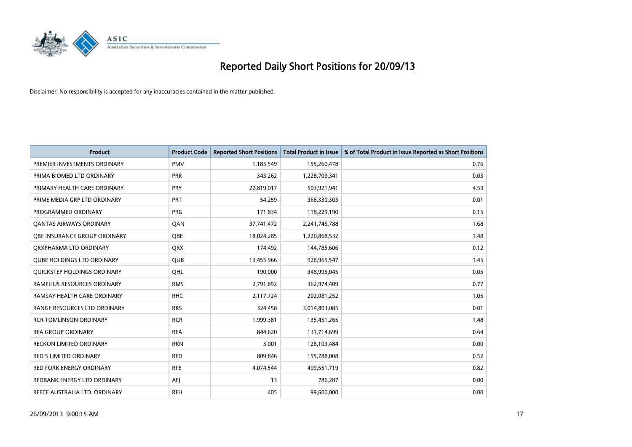

| <b>Product</b>                    | <b>Product Code</b> | <b>Reported Short Positions</b> | <b>Total Product in Issue</b> | % of Total Product in Issue Reported as Short Positions |
|-----------------------------------|---------------------|---------------------------------|-------------------------------|---------------------------------------------------------|
| PREMIER INVESTMENTS ORDINARY      | <b>PMV</b>          | 1,185,549                       | 155,260,478                   | 0.76                                                    |
| PRIMA BIOMED LTD ORDINARY         | <b>PRR</b>          | 343,262                         | 1,228,709,341                 | 0.03                                                    |
| PRIMARY HEALTH CARE ORDINARY      | <b>PRY</b>          | 22,819,017                      | 503,921,941                   | 4.53                                                    |
| PRIME MEDIA GRP LTD ORDINARY      | <b>PRT</b>          | 54,259                          | 366,330,303                   | 0.01                                                    |
| PROGRAMMED ORDINARY               | <b>PRG</b>          | 171,834                         | 118,229,190                   | 0.15                                                    |
| <b>QANTAS AIRWAYS ORDINARY</b>    | QAN                 | 37,741,472                      | 2,241,745,788                 | 1.68                                                    |
| OBE INSURANCE GROUP ORDINARY      | <b>OBE</b>          | 18,024,285                      | 1,220,868,532                 | 1.48                                                    |
| ORXPHARMA LTD ORDINARY            | <b>QRX</b>          | 174,492                         | 144,785,606                   | 0.12                                                    |
| <b>QUBE HOLDINGS LTD ORDINARY</b> | <b>QUB</b>          | 13,455,966                      | 928,965,547                   | 1.45                                                    |
| QUICKSTEP HOLDINGS ORDINARY       | OHL                 | 190,000                         | 348,995,045                   | 0.05                                                    |
| RAMELIUS RESOURCES ORDINARY       | <b>RMS</b>          | 2,791,892                       | 362,974,409                   | 0.77                                                    |
| RAMSAY HEALTH CARE ORDINARY       | <b>RHC</b>          | 2,117,724                       | 202,081,252                   | 1.05                                                    |
| RANGE RESOURCES LTD ORDINARY      | <b>RRS</b>          | 324,458                         | 3,014,803,085                 | 0.01                                                    |
| <b>RCR TOMLINSON ORDINARY</b>     | <b>RCR</b>          | 1,999,381                       | 135,451,265                   | 1.48                                                    |
| <b>REA GROUP ORDINARY</b>         | <b>REA</b>          | 844.620                         | 131,714,699                   | 0.64                                                    |
| <b>RECKON LIMITED ORDINARY</b>    | <b>RKN</b>          | 3,001                           | 128,103,484                   | 0.00                                                    |
| RED 5 LIMITED ORDINARY            | <b>RED</b>          | 809,846                         | 155,788,008                   | 0.52                                                    |
| <b>RED FORK ENERGY ORDINARY</b>   | <b>RFE</b>          | 4,074,544                       | 499,551,719                   | 0.82                                                    |
| REDBANK ENERGY LTD ORDINARY       | AEJ                 | 13                              | 786,287                       | 0.00                                                    |
| REECE AUSTRALIA LTD. ORDINARY     | <b>REH</b>          | 405                             | 99,600,000                    | 0.00                                                    |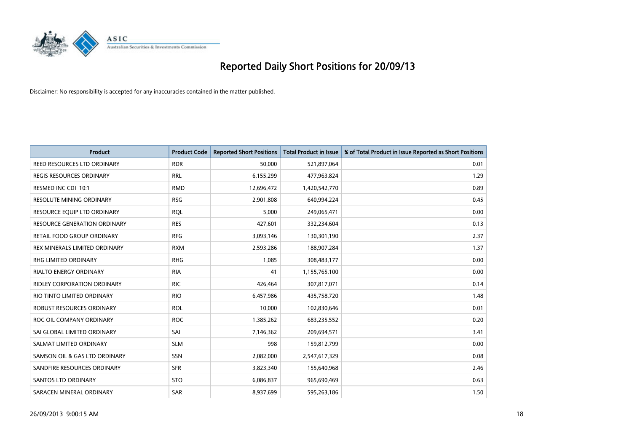

| <b>Product</b>                      | <b>Product Code</b> | <b>Reported Short Positions</b> | <b>Total Product in Issue</b> | % of Total Product in Issue Reported as Short Positions |
|-------------------------------------|---------------------|---------------------------------|-------------------------------|---------------------------------------------------------|
| REED RESOURCES LTD ORDINARY         | <b>RDR</b>          | 50,000                          | 521,897,064                   | 0.01                                                    |
| REGIS RESOURCES ORDINARY            | <b>RRL</b>          | 6,155,299                       | 477,963,824                   | 1.29                                                    |
| RESMED INC CDI 10:1                 | <b>RMD</b>          | 12,696,472                      | 1,420,542,770                 | 0.89                                                    |
| RESOLUTE MINING ORDINARY            | <b>RSG</b>          | 2,901,808                       | 640,994,224                   | 0.45                                                    |
| RESOURCE EQUIP LTD ORDINARY         | <b>ROL</b>          | 5,000                           | 249,065,471                   | 0.00                                                    |
| <b>RESOURCE GENERATION ORDINARY</b> | <b>RES</b>          | 427,601                         | 332,234,604                   | 0.13                                                    |
| RETAIL FOOD GROUP ORDINARY          | <b>RFG</b>          | 3,093,146                       | 130,301,190                   | 2.37                                                    |
| REX MINERALS LIMITED ORDINARY       | <b>RXM</b>          | 2,593,286                       | 188,907,284                   | 1.37                                                    |
| RHG LIMITED ORDINARY                | <b>RHG</b>          | 1,085                           | 308,483,177                   | 0.00                                                    |
| <b>RIALTO ENERGY ORDINARY</b>       | <b>RIA</b>          | 41                              | 1,155,765,100                 | 0.00                                                    |
| <b>RIDLEY CORPORATION ORDINARY</b>  | <b>RIC</b>          | 426,464                         | 307,817,071                   | 0.14                                                    |
| RIO TINTO LIMITED ORDINARY          | <b>RIO</b>          | 6,457,986                       | 435,758,720                   | 1.48                                                    |
| ROBUST RESOURCES ORDINARY           | <b>ROL</b>          | 10,000                          | 102,830,646                   | 0.01                                                    |
| ROC OIL COMPANY ORDINARY            | <b>ROC</b>          | 1,385,262                       | 683,235,552                   | 0.20                                                    |
| SAI GLOBAL LIMITED ORDINARY         | SAI                 | 7,146,362                       | 209,694,571                   | 3.41                                                    |
| SALMAT LIMITED ORDINARY             | <b>SLM</b>          | 998                             | 159,812,799                   | 0.00                                                    |
| SAMSON OIL & GAS LTD ORDINARY       | SSN                 | 2,082,000                       | 2,547,617,329                 | 0.08                                                    |
| SANDFIRE RESOURCES ORDINARY         | <b>SFR</b>          | 3,823,340                       | 155,640,968                   | 2.46                                                    |
| SANTOS LTD ORDINARY                 | <b>STO</b>          | 6,086,837                       | 965,690,469                   | 0.63                                                    |
| SARACEN MINERAL ORDINARY            | SAR                 | 8,937,699                       | 595,263,186                   | 1.50                                                    |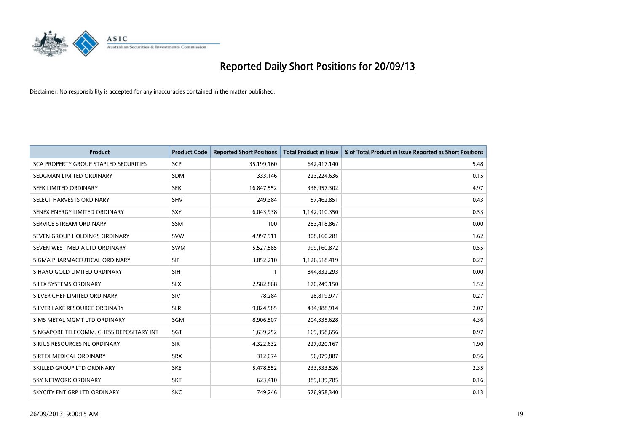

| <b>Product</b>                           | <b>Product Code</b> | <b>Reported Short Positions</b> | <b>Total Product in Issue</b> | % of Total Product in Issue Reported as Short Positions |
|------------------------------------------|---------------------|---------------------------------|-------------------------------|---------------------------------------------------------|
| SCA PROPERTY GROUP STAPLED SECURITIES    | SCP                 | 35,199,160                      | 642,417,140                   | 5.48                                                    |
| SEDGMAN LIMITED ORDINARY                 | <b>SDM</b>          | 333,146                         | 223,224,636                   | 0.15                                                    |
| SEEK LIMITED ORDINARY                    | <b>SEK</b>          | 16,847,552                      | 338,957,302                   | 4.97                                                    |
| SELECT HARVESTS ORDINARY                 | <b>SHV</b>          | 249,384                         | 57,462,851                    | 0.43                                                    |
| SENEX ENERGY LIMITED ORDINARY            | SXY                 | 6,043,938                       | 1,142,010,350                 | 0.53                                                    |
| SERVICE STREAM ORDINARY                  | <b>SSM</b>          | 100                             | 283,418,867                   | 0.00                                                    |
| SEVEN GROUP HOLDINGS ORDINARY            | <b>SVW</b>          | 4,997,911                       | 308,160,281                   | 1.62                                                    |
| SEVEN WEST MEDIA LTD ORDINARY            | <b>SWM</b>          | 5,527,585                       | 999,160,872                   | 0.55                                                    |
| SIGMA PHARMACEUTICAL ORDINARY            | <b>SIP</b>          | 3,052,210                       | 1,126,618,419                 | 0.27                                                    |
| SIHAYO GOLD LIMITED ORDINARY             | <b>SIH</b>          | $\mathbf{1}$                    | 844,832,293                   | 0.00                                                    |
| SILEX SYSTEMS ORDINARY                   | <b>SLX</b>          | 2,582,868                       | 170,249,150                   | 1.52                                                    |
| SILVER CHEF LIMITED ORDINARY             | SIV                 | 78,284                          | 28,819,977                    | 0.27                                                    |
| SILVER LAKE RESOURCE ORDINARY            | <b>SLR</b>          | 9,024,585                       | 434,988,914                   | 2.07                                                    |
| SIMS METAL MGMT LTD ORDINARY             | <b>SGM</b>          | 8,906,507                       | 204,335,628                   | 4.36                                                    |
| SINGAPORE TELECOMM. CHESS DEPOSITARY INT | SGT                 | 1,639,252                       | 169,358,656                   | 0.97                                                    |
| SIRIUS RESOURCES NL ORDINARY             | <b>SIR</b>          | 4,322,632                       | 227,020,167                   | 1.90                                                    |
| SIRTEX MEDICAL ORDINARY                  | <b>SRX</b>          | 312,074                         | 56,079,887                    | 0.56                                                    |
| SKILLED GROUP LTD ORDINARY               | <b>SKE</b>          | 5,478,552                       | 233,533,526                   | 2.35                                                    |
| <b>SKY NETWORK ORDINARY</b>              | <b>SKT</b>          | 623,410                         | 389,139,785                   | 0.16                                                    |
| SKYCITY ENT GRP LTD ORDINARY             | <b>SKC</b>          | 749,246                         | 576,958,340                   | 0.13                                                    |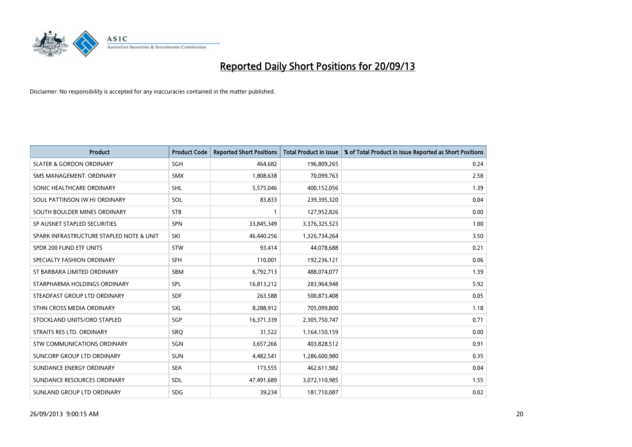

| <b>Product</b>                           | <b>Product Code</b> | <b>Reported Short Positions</b> | <b>Total Product in Issue</b> | % of Total Product in Issue Reported as Short Positions |
|------------------------------------------|---------------------|---------------------------------|-------------------------------|---------------------------------------------------------|
| <b>SLATER &amp; GORDON ORDINARY</b>      | SGH                 | 464,682                         | 196,809,265                   | 0.24                                                    |
| SMS MANAGEMENT, ORDINARY                 | <b>SMX</b>          | 1,808,638                       | 70,099,763                    | 2.58                                                    |
| SONIC HEALTHCARE ORDINARY                | <b>SHL</b>          | 5,575,046                       | 400,152,056                   | 1.39                                                    |
| SOUL PATTINSON (W.H) ORDINARY            | SOL                 | 83,833                          | 239,395,320                   | 0.04                                                    |
| SOUTH BOULDER MINES ORDINARY             | <b>STB</b>          | 1                               | 127,952,826                   | 0.00                                                    |
| SP AUSNET STAPLED SECURITIES             | <b>SPN</b>          | 33,845,349                      | 3,376,325,523                 | 1.00                                                    |
| SPARK INFRASTRUCTURE STAPLED NOTE & UNIT | SKI                 | 46,440,256                      | 1,326,734,264                 | 3.50                                                    |
| SPDR 200 FUND ETF UNITS                  | <b>STW</b>          | 93,414                          | 44,078,688                    | 0.21                                                    |
| SPECIALTY FASHION ORDINARY               | <b>SFH</b>          | 110,001                         | 192,236,121                   | 0.06                                                    |
| ST BARBARA LIMITED ORDINARY              | <b>SBM</b>          | 6,792,713                       | 488,074,077                   | 1.39                                                    |
| STARPHARMA HOLDINGS ORDINARY             | <b>SPL</b>          | 16,813,212                      | 283,964,948                   | 5.92                                                    |
| STEADFAST GROUP LTD ORDINARY             | <b>SDF</b>          | 263,588                         | 500,873,408                   | 0.05                                                    |
| STHN CROSS MEDIA ORDINARY                | SXL                 | 8,288,912                       | 705,099,800                   | 1.18                                                    |
| STOCKLAND UNITS/ORD STAPLED              | SGP                 | 16,371,339                      | 2,305,750,747                 | 0.71                                                    |
| STRAITS RES LTD. ORDINARY                | SRQ                 | 31,522                          | 1,164,150,159                 | 0.00                                                    |
| STW COMMUNICATIONS ORDINARY              | SGN                 | 3,657,266                       | 403,828,512                   | 0.91                                                    |
| SUNCORP GROUP LTD ORDINARY               | <b>SUN</b>          | 4,482,541                       | 1,286,600,980                 | 0.35                                                    |
| SUNDANCE ENERGY ORDINARY                 | <b>SEA</b>          | 173,555                         | 462,611,982                   | 0.04                                                    |
| SUNDANCE RESOURCES ORDINARY              | SDL                 | 47,491,689                      | 3,072,110,985                 | 1.55                                                    |
| SUNLAND GROUP LTD ORDINARY               | <b>SDG</b>          | 39,234                          | 181,710,087                   | 0.02                                                    |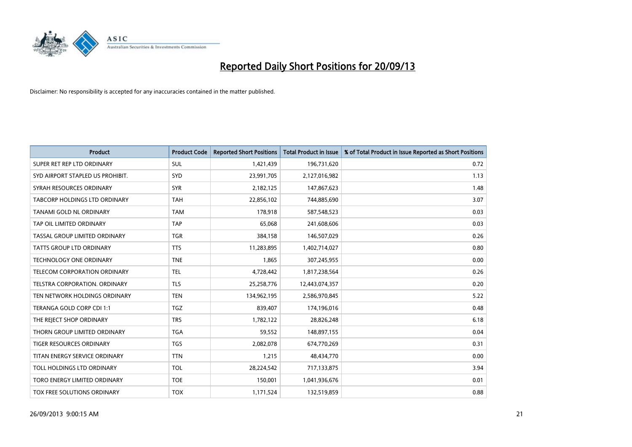

| <b>Product</b>                   | <b>Product Code</b> | <b>Reported Short Positions</b> | <b>Total Product in Issue</b> | % of Total Product in Issue Reported as Short Positions |
|----------------------------------|---------------------|---------------------------------|-------------------------------|---------------------------------------------------------|
| SUPER RET REP LTD ORDINARY       | <b>SUL</b>          | 1,421,439                       | 196,731,620                   | 0.72                                                    |
| SYD AIRPORT STAPLED US PROHIBIT. | SYD                 | 23,991,705                      | 2,127,016,982                 | 1.13                                                    |
| SYRAH RESOURCES ORDINARY         | <b>SYR</b>          | 2,182,125                       | 147,867,623                   | 1.48                                                    |
| TABCORP HOLDINGS LTD ORDINARY    | <b>TAH</b>          | 22,856,102                      | 744,885,690                   | 3.07                                                    |
| TANAMI GOLD NL ORDINARY          | <b>TAM</b>          | 178,918                         | 587,548,523                   | 0.03                                                    |
| TAP OIL LIMITED ORDINARY         | <b>TAP</b>          | 65,068                          | 241,608,606                   | 0.03                                                    |
| TASSAL GROUP LIMITED ORDINARY    | TGR                 | 384,158                         | 146,507,029                   | 0.26                                                    |
| TATTS GROUP LTD ORDINARY         | <b>TTS</b>          | 11,283,895                      | 1,402,714,027                 | 0.80                                                    |
| <b>TECHNOLOGY ONE ORDINARY</b>   | <b>TNE</b>          | 1,865                           | 307,245,955                   | 0.00                                                    |
| TELECOM CORPORATION ORDINARY     | <b>TEL</b>          | 4,728,442                       | 1,817,238,564                 | 0.26                                                    |
| TELSTRA CORPORATION. ORDINARY    | <b>TLS</b>          | 25,258,776                      | 12,443,074,357                | 0.20                                                    |
| TEN NETWORK HOLDINGS ORDINARY    | <b>TEN</b>          | 134,962,195                     | 2,586,970,845                 | 5.22                                                    |
| TERANGA GOLD CORP CDI 1:1        | TGZ                 | 839,407                         | 174,196,016                   | 0.48                                                    |
| THE REJECT SHOP ORDINARY         | <b>TRS</b>          | 1,782,122                       | 28,826,248                    | 6.18                                                    |
| THORN GROUP LIMITED ORDINARY     | <b>TGA</b>          | 59,552                          | 148,897,155                   | 0.04                                                    |
| TIGER RESOURCES ORDINARY         | <b>TGS</b>          | 2,082,078                       | 674,770,269                   | 0.31                                                    |
| TITAN ENERGY SERVICE ORDINARY    | <b>TTN</b>          | 1,215                           | 48,434,770                    | 0.00                                                    |
| TOLL HOLDINGS LTD ORDINARY       | <b>TOL</b>          | 28,224,542                      | 717,133,875                   | 3.94                                                    |
| TORO ENERGY LIMITED ORDINARY     | <b>TOE</b>          | 150,001                         | 1,041,936,676                 | 0.01                                                    |
| TOX FREE SOLUTIONS ORDINARY      | <b>TOX</b>          | 1,171,524                       | 132,519,859                   | 0.88                                                    |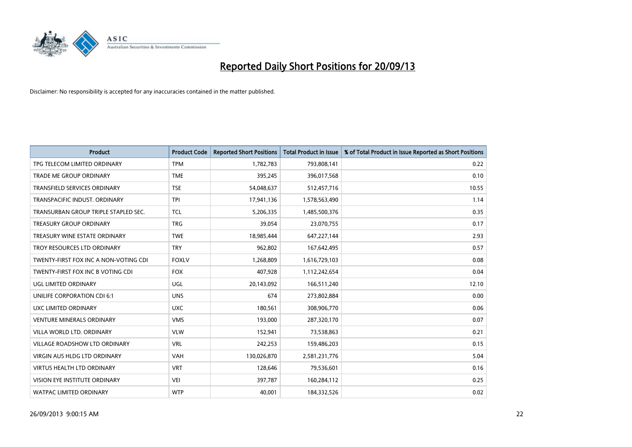

| <b>Product</b>                        | <b>Product Code</b> | <b>Reported Short Positions</b> | <b>Total Product in Issue</b> | % of Total Product in Issue Reported as Short Positions |
|---------------------------------------|---------------------|---------------------------------|-------------------------------|---------------------------------------------------------|
| TPG TELECOM LIMITED ORDINARY          | <b>TPM</b>          | 1,782,783                       | 793,808,141                   | 0.22                                                    |
| TRADE ME GROUP ORDINARY               | <b>TME</b>          | 395,245                         | 396,017,568                   | 0.10                                                    |
| <b>TRANSFIELD SERVICES ORDINARY</b>   | <b>TSE</b>          | 54,048,637                      | 512,457,716                   | 10.55                                                   |
| TRANSPACIFIC INDUST. ORDINARY         | <b>TPI</b>          | 17,941,136                      | 1,578,563,490                 | 1.14                                                    |
| TRANSURBAN GROUP TRIPLE STAPLED SEC.  | <b>TCL</b>          | 5,206,335                       | 1,485,500,376                 | 0.35                                                    |
| <b>TREASURY GROUP ORDINARY</b>        | <b>TRG</b>          | 39,054                          | 23,070,755                    | 0.17                                                    |
| TREASURY WINE ESTATE ORDINARY         | <b>TWE</b>          | 18,985,444                      | 647,227,144                   | 2.93                                                    |
| TROY RESOURCES LTD ORDINARY           | <b>TRY</b>          | 962,802                         | 167,642,495                   | 0.57                                                    |
| TWENTY-FIRST FOX INC A NON-VOTING CDI | <b>FOXLV</b>        | 1,268,809                       | 1,616,729,103                 | 0.08                                                    |
| TWENTY-FIRST FOX INC B VOTING CDI     | <b>FOX</b>          | 407,928                         | 1,112,242,654                 | 0.04                                                    |
| UGL LIMITED ORDINARY                  | UGL                 | 20,143,092                      | 166,511,240                   | 12.10                                                   |
| UNILIFE CORPORATION CDI 6:1           | <b>UNS</b>          | 674                             | 273,802,884                   | 0.00                                                    |
| UXC LIMITED ORDINARY                  | <b>UXC</b>          | 180,561                         | 308,906,770                   | 0.06                                                    |
| <b>VENTURE MINERALS ORDINARY</b>      | <b>VMS</b>          | 193,000                         | 287,320,170                   | 0.07                                                    |
| VILLA WORLD LTD, ORDINARY             | <b>VLW</b>          | 152,941                         | 73,538,863                    | 0.21                                                    |
| VILLAGE ROADSHOW LTD ORDINARY         | <b>VRL</b>          | 242,253                         | 159,486,203                   | 0.15                                                    |
| VIRGIN AUS HLDG LTD ORDINARY          | <b>VAH</b>          | 130,026,870                     | 2,581,231,776                 | 5.04                                                    |
| <b>VIRTUS HEALTH LTD ORDINARY</b>     | <b>VRT</b>          | 128,646                         | 79,536,601                    | 0.16                                                    |
| VISION EYE INSTITUTE ORDINARY         | <b>VEI</b>          | 397,787                         | 160,284,112                   | 0.25                                                    |
| <b>WATPAC LIMITED ORDINARY</b>        | <b>WTP</b>          | 40,001                          | 184,332,526                   | 0.02                                                    |